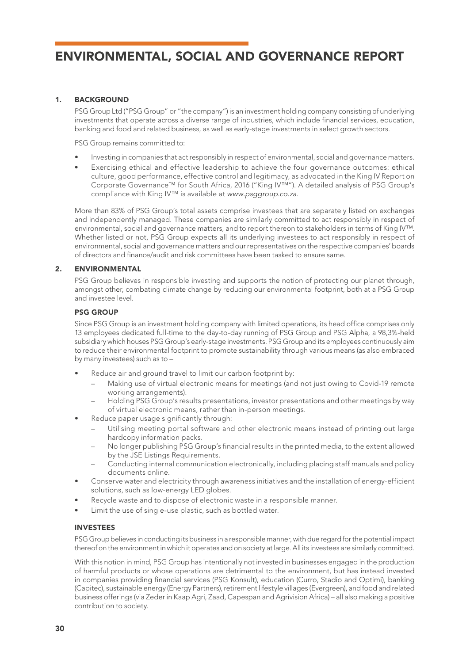# 1. BACKGROUND

PSG Group Ltd ("PSG Group" or "the company") is an investment holding company consisting of underlying investments that operate across a diverse range of industries, which include financial services, education, banking and food and related business, as well as early-stage investments in select growth sectors.

PSG Group remains committed to:

- Investing in companies that act responsibly in respect of environmental, social and governance matters.
- Exercising ethical and effective leadership to achieve the four governance outcomes: ethical culture, good performance, effective control and legitimacy, as advocated in the King IV Report on Corporate Governance™ for South Africa, 2016 ("King IV™"). A detailed analysis of PSG Group's compliance with King IV™ is available at *www.psggroup.co.za.*

More than 83% of PSG Group's total assets comprise investees that are separately listed on exchanges and independently managed. These companies are similarly committed to act responsibly in respect of environmental, social and governance matters, and to report thereon to stakeholders in terms of King IV™. Whether listed or not, PSG Group expects all its underlying investees to act responsibly in respect of environmental, social and governance matters and our representatives on the respective companies' boards of directors and finance/audit and risk committees have been tasked to ensure same.

# 2. ENVIRONMENTAL

PSG Group believes in responsible investing and supports the notion of protecting our planet through, amongst other, combating climate change by reducing our environmental footprint, both at a PSG Group and investee level.

# PSG GROUP

Since PSG Group is an investment holding company with limited operations, its head office comprises only 13 employees dedicated full-time to the day-to-day running of PSG Group and PSG Alpha, a 98,3%-held subsidiary which houses PSG Group's early-stage investments. PSG Group and its employees continuously aim to reduce their environmental footprint to promote sustainability through various means (as also embraced by many investees) such as to –

- Reduce air and ground travel to limit our carbon footprint by:
	- Making use of virtual electronic means for meetings (and not just owing to Covid-19 remote working arrangements).
	- Holding PSG Group's results presentations, investor presentations and other meetings by way of virtual electronic means, rather than in-person meetings.
- Reduce paper usage significantly through:
	- Utilising meeting portal software and other electronic means instead of printing out large hardcopy information packs.
	- No longer publishing PSG Group's financial results in the printed media, to the extent allowed by the JSE Listings Requirements.
	- Conducting internal communication electronically, including placing staff manuals and policy documents online.
- Conserve water and electricity through awareness initiatives and the installation of energy-efficient solutions, such as low-energy LED globes.
- Recycle waste and to dispose of electronic waste in a responsible manner.
- Limit the use of single-use plastic, such as bottled water.

#### INVESTEES

PSG Group believes in conducting its business in a responsible manner, with due regard for the potential impact thereof on the environment in which it operates and on society at large. All its investees are similarly committed.

With this notion in mind, PSG Group has intentionally not invested in businesses engaged in the production of harmful products or whose operations are detrimental to the environment, but has instead invested in companies providing financial services (PSG Konsult), education (Curro, Stadio and Optimi), banking (Capitec), sustainable energy (Energy Partners), retirement lifestyle villages (Evergreen), and food and related business offerings (via Zeder in Kaap Agri, Zaad, Capespan and Agrivision Africa) – all also making a positive contribution to society.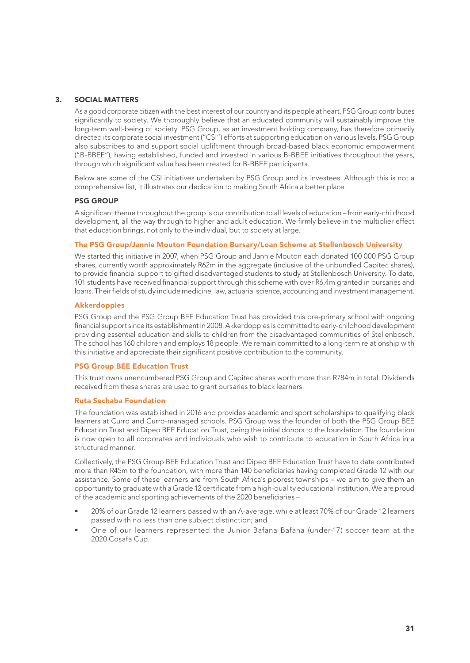#### 3. SOCIAL MATTERS

As a good corporate citizen with the best interest of our country and its people at heart, PSG Group contributes significantly to society. We thoroughly believe that an educated community will sustainably improve the long-term well-being of society. PSG Group, as an investment holding company, has therefore primarily directed its corporate social investment ("CSI") efforts at supporting education on various levels. PSG Group also subscribes to and support social upliftment through broad-based black economic empowerment ("B-BBEE"), having established, funded and invested in various B-BBEE initiatives throughout the years, through which significant value has been created for B-BBEE participants.

Below are some of the CSI initiatives undertaken by PSG Group and its investees. Although this is not a comprehensive list, it illustrates our dedication to making South Africa a better place.

# PSG GROUP

A significant theme throughout the group is our contribution to all levels of education – from early-childhood development, all the way through to higher and adult education. We firmly believe in the multiplier effect that education brings, not only to the individual, but to society at large.

#### The PSG Group/Jannie Mouton Foundation Bursary/Loan Scheme at Stellenbosch University

We started this initiative in 2007, when PSG Group and Jannie Mouton each donated 100 000 PSG Group shares, currently worth approximately R62m in the aggregate (inclusive of the unbundled Capitec shares), to provide financial support to gifted disadvantaged students to study at Stellenbosch University. To date, 101 students have received financial support through this scheme with over R6,4m granted in bursaries and loans. Their fields of study include medicine, law, actuarial science, accounting and investment management.

#### **Akkerdoppies**

PSG Group and the PSG Group BEE Education Trust has provided this pre-primary school with ongoing financial support since its establishment in 2008. Akkerdoppies is committed to early-childhood development providing essential education and skills to children from the disadvantaged communities of Stellenbosch. The school has 160 children and employs 18 people. We remain committed to a long-term relationship with this initiative and appreciate their significant positive contribution to the community.

#### PSG Group BEE Education Trust

This trust owns unencumbered PSG Group and Capitec shares worth more than R784m in total. Dividends received from these shares are used to grant bursaries to black learners.

#### Ruta Sechaba Foundation

The foundation was established in 2016 and provides academic and sport scholarships to qualifying black learners at Curro and Curro-managed schools. PSG Group was the founder of both the PSG Group BEE Education Trust and Dipeo BEE Education Trust, being the initial donors to the foundation. The foundation is now open to all corporates and individuals who wish to contribute to education in South Africa in a structured manner.

Collectively, the PSG Group BEE Education Trust and Dipeo BEE Education Trust have to date contributed more than R45m to the foundation, with more than 140 beneficiaries having completed Grade 12 with our assistance. Some of these learners are from South Africa's poorest townships – we aim to give them an opportunity to graduate with a Grade 12 certificate from a high-quality educational institution. We are proud of the academic and sporting achievements of the 2020 beneficiaries –

- 20% of our Grade 12 learners passed with an A-average, while at least 70% of our Grade 12 learners passed with no less than one subject distinction; and
- One of our learners represented the Junior Bafana Bafana (under-17) soccer team at the 2020 Cosafa Cup.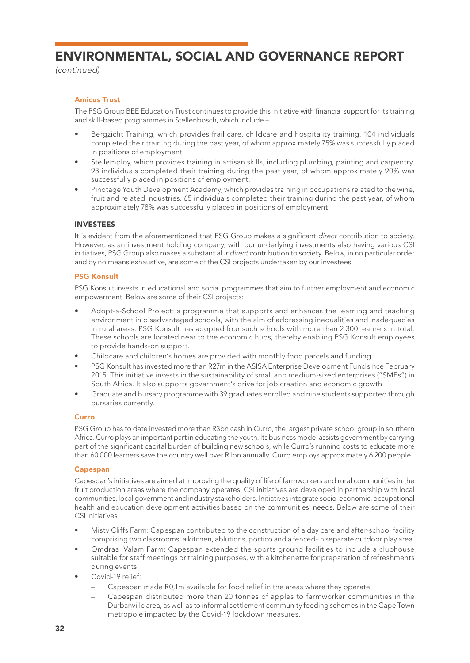*(continued)*

# Amicus Trust

The PSG Group BEE Education Trust continues to provide this initiative with financial support for its training and skill-based programmes in Stellenbosch, which include –

- Bergzicht Training, which provides frail care, childcare and hospitality training. 104 individuals completed their training during the past year, of whom approximately 75% was successfully placed in positions of employment.
- Stellemploy, which provides training in artisan skills, including plumbing, painting and carpentry. 93 individuals completed their training during the past year, of whom approximately 90% was successfully placed in positions of employment.
- Pinotage Youth Development Academy, which provides training in occupations related to the wine, fruit and related industries. 65 individuals completed their training during the past year, of whom approximately 78% was successfully placed in positions of employment.

# INVESTEES

It is evident from the aforementioned that PSG Group makes a significant *direct* contribution to society. However, as an investment holding company, with our underlying investments also having various CSI initiatives, PSG Group also makes a substantial *indirect* contribution to society. Below, in no particular order and by no means exhaustive, are some of the CSI projects undertaken by our investees:

# PSG Konsult

PSG Konsult invests in educational and social programmes that aim to further employment and economic empowerment. Below are some of their CSI projects:

- Adopt-a-School Project: a programme that supports and enhances the learning and teaching environment in disadvantaged schools, with the aim of addressing inequalities and inadequacies in rural areas. PSG Konsult has adopted four such schools with more than 2 300 learners in total. These schools are located near to the economic hubs, thereby enabling PSG Konsult employees to provide hands-on support.
- Childcare and children's homes are provided with monthly food parcels and funding.
- PSG Konsult has invested more than R27m in the ASISA Enterprise Development Fund since February 2015. This initiative invests in the sustainability of small and medium-sized enterprises ("SMEs") in South Africa. It also supports government's drive for job creation and economic growth.
- Graduate and bursary programme with 39 graduates enrolled and nine students supported through bursaries currently.

#### Curro

PSG Group has to date invested more than R3bn cash in Curro, the largest private school group in southern Africa. Curro plays an important part in educating the youth. Its business model assists government by carrying part of the significant capital burden of building new schools, while Curro's running costs to educate more than 60 000 learners save the country well over R1bn annually. Curro employs approximately 6 200 people.

#### Capespan

Capespan's initiatives are aimed at improving the quality of life of farmworkers and rural communities in the fruit production areas where the company operates. CSI initiatives are developed in partnership with local communities, local government and industry stakeholders. Initiatives integrate socio-economic, occupational health and education development activities based on the communities' needs. Below are some of their CSI initiatives:

- Misty Cliffs Farm: Capespan contributed to the construction of a day care and after-school facility comprising two classrooms, a kitchen, ablutions, portico and a fenced-in separate outdoor play area.
- Omdraai Valam Farm: Capespan extended the sports ground facilities to include a clubhouse suitable for staff meetings or training purposes, with a kitchenette for preparation of refreshments during events.
- Covid-19 relief:
	- Capespan made R0,1m available for food relief in the areas where they operate.
	- Capespan distributed more than 20 tonnes of apples to farmworker communities in the Durbanville area, as well as to informal settlement community feeding schemes in the Cape Town metropole impacted by the Covid-19 lockdown measures.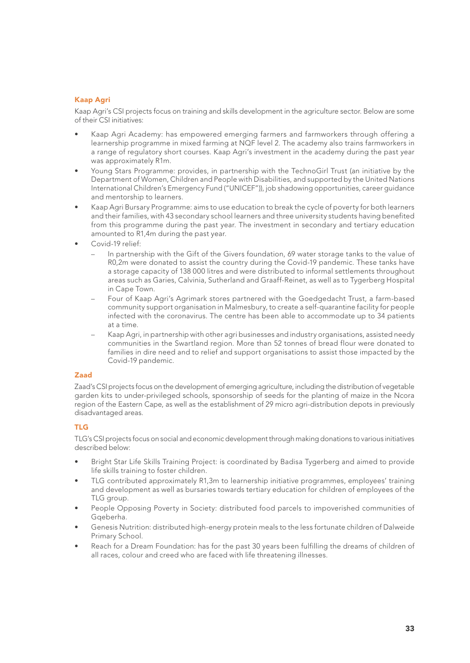# Kaap Agri

Kaap Agri's CSI projects focus on training and skills development in the agriculture sector. Below are some of their CSI initiatives:

- Kaap Agri Academy: has empowered emerging farmers and farmworkers through offering a learnership programme in mixed farming at NQF level 2. The academy also trains farmworkers in a range of regulatory short courses. Kaap Agri's investment in the academy during the past year was approximately R1m.
- Young Stars Programme: provides, in partnership with the TechnoGirl Trust (an initiative by the Department of Women, Children and People with Disabilities, and supported by the United Nations International Children's Emergency Fund ("UNICEF")), job shadowing opportunities, career guidance and mentorship to learners.
- Kaap Agri Bursary Programme: aims to use education to break the cycle of poverty for both learners and their families, with 43 secondary school learners and three university students having benefited from this programme during the past year. The investment in secondary and tertiary education amounted to R1,4m during the past year.
- Covid-19 relief:
	- In partnership with the Gift of the Givers foundation, 69 water storage tanks to the value of R0,2m were donated to assist the country during the Covid-19 pandemic. These tanks have a storage capacity of 138 000 litres and were distributed to informal settlements throughout areas such as Garies, Calvinia, Sutherland and Graaff-Reinet, as well as to Tygerberg Hospital in Cape Town.
	- Four of Kaap Agri's Agrimark stores partnered with the Goedgedacht Trust, a farm-based community support organisation in Malmesbury, to create a self-quarantine facility for people infected with the coronavirus. The centre has been able to accommodate up to 34 patients at a time.
	- Kaap Agri, in partnership with other agri businesses and industry organisations, assisted needy communities in the Swartland region. More than 52 tonnes of bread flour were donated to families in dire need and to relief and support organisations to assist those impacted by the Covid-19 pandemic.

#### Zaad

Zaad's CSI projects focus on the development of emerging agriculture, including the distribution of vegetable garden kits to under-privileged schools, sponsorship of seeds for the planting of maize in the Ncora region of the Eastern Cape, as well as the establishment of 29 micro agri-distribution depots in previously disadvantaged areas.

#### TLG

TLG's CSI projects focus on social and economic development through making donations to various initiatives described below:

- Bright Star Life Skills Training Project: is coordinated by Badisa Tygerberg and aimed to provide life skills training to foster children.
- TLG contributed approximately R1,3m to learnership initiative programmes, employees' training and development as well as bursaries towards tertiary education for children of employees of the TLG group.
- People Opposing Poverty in Society: distributed food parcels to impoverished communities of Gaeberha.
- Genesis Nutrition: distributed high-energy protein meals to the less fortunate children of Dalweide Primary School.
- Reach for a Dream Foundation: has for the past 30 years been fulfilling the dreams of children of all races, colour and creed who are faced with life threatening illnesses.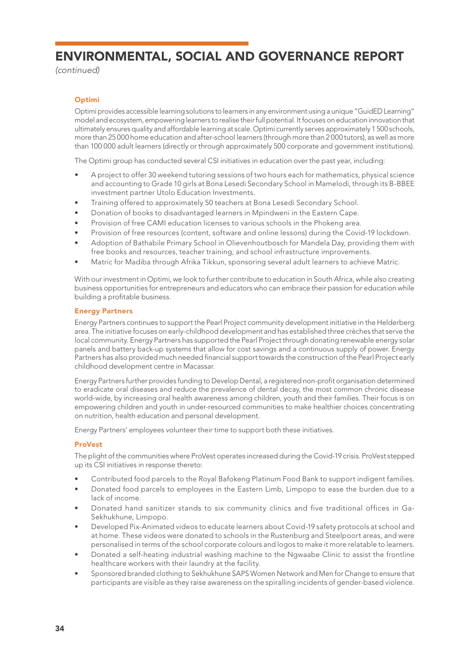*(continued)*

# Optimi

Optimi provides accessible learning solutions to learners in any environment using a unique "GuidED Learning" model and ecosystem, empowering learners to realise their full potential. It focuses on education innovation that ultimately ensures quality and affordable learning at scale. Optimi currently serves approximately 1 500 schools, more than 25 000 home education and after-school learners (through more than 2 000 tutors), as well as more than 100 000 adult learners (directly or through approximately 500 corporate and government institutions).

The Optimi group has conducted several CSI initiatives in education over the past year, including:

- A project to offer 30 weekend tutoring sessions of two hours each for mathematics, physical science and accounting to Grade 10 girls at Bona Lesedi Secondary School in Mamelodi, through its B-BBEE investment partner Utolo Education Investments.
- Training offered to approximately 50 teachers at Bona Lesedi Secondary School.
- Donation of books to disadvantaged learners in Mpindweni in the Eastern Cape.
- Provision of free CAMI education licenses to various schools in the Phokeng area.
- Provision of free resources (content, software and online lessons) during the Covid-19 lockdown.
- Adoption of Bathabile Primary School in Olievenhoutbosch for Mandela Day, providing them with free books and resources, teacher training, and school infrastructure improvements.
- Matric for Madiba through Afrika Tikkun, sponsoring several adult learners to achieve Matric.

With our investment in Optimi, we look to further contribute to education in South Africa, while also creating business opportunities for entrepreneurs and educators who can embrace their passion for education while building a profitable business.

# Energy Partners

Energy Partners continues to support the Pearl Project community development initiative in the Helderberg area. The initiative focuses on early-childhood development and has established three crèches that serve the local community. Energy Partners has supported the Pearl Project through donating renewable energy solar panels and battery back-up systems that allow for cost savings and a continuous supply of power. Energy Partners has also provided much needed financial support towards the construction of the Pearl Project early childhood development centre in Macassar.

Energy Partners further provides funding to Develop Dental, a registered non-profit organisation determined to eradicate oral diseases and reduce the prevalence of dental decay, the most common chronic disease world-wide, by increasing oral health awareness among children, youth and their families. Their focus is on empowering children and youth in under-resourced communities to make healthier choices concentrating on nutrition, health education and personal development.

Energy Partners' employees volunteer their time to support both these initiatives.

# ProVest

The plight of the communities where ProVest operates increased during the Covid-19 crisis. ProVest stepped up its CSI initiatives in response thereto:

- Contributed food parcels to the Royal Bafokeng Platinum Food Bank to support indigent families.
- Donated food parcels to employees in the Eastern Limb, Limpopo to ease the burden due to a lack of income.
- Donated hand sanitizer stands to six community clinics and five traditional offices in Ga-Sekhukhune, Limpopo.
- Developed Pix-Animated videos to educate learners about Covid-19 safety protocols at school and at home. These videos were donated to schools in the Rustenburg and Steelpoort areas, and were personalised in terms of the school corporate colours and logos to make it more relatable to learners.
- Donated a self-heating industrial washing machine to the Ngwaabe Clinic to assist the frontline healthcare workers with their laundry at the facility.
- Sponsored branded clothing to Sekhukhune SAPS Women Network and Men for Change to ensure that participants are visible as they raise awareness on the spiralling incidents of gender-based violence.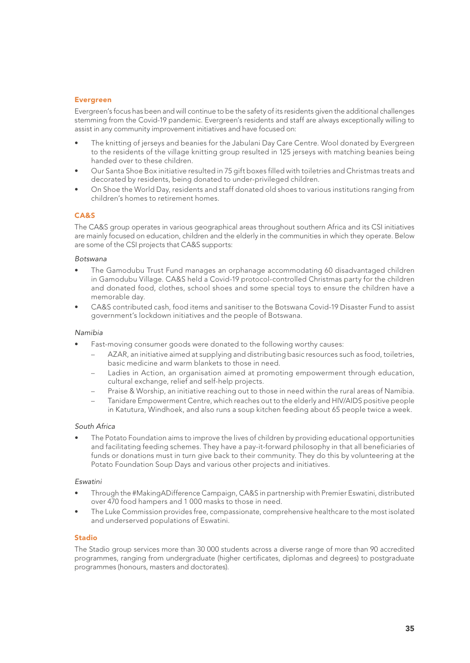#### Evergreen

Evergreen's focus has been and will continue to be the safety of its residents given the additional challenges stemming from the Covid-19 pandemic. Evergreen's residents and staff are always exceptionally willing to assist in any community improvement initiatives and have focused on:

- The knitting of jerseys and beanies for the Jabulani Day Care Centre. Wool donated by Evergreen to the residents of the village knitting group resulted in 125 jerseys with matching beanies being handed over to these children.
- Our Santa Shoe Box initiative resulted in 75 gift boxes filled with toiletries and Christmas treats and decorated by residents, being donated to under-privileged children.
- On Shoe the World Day, residents and staff donated old shoes to various institutions ranging from children's homes to retirement homes.

# CA&S

The CA&S group operates in various geographical areas throughout southern Africa and its CSI initiatives are mainly focused on education, children and the elderly in the communities in which they operate. Below are some of the CSI projects that CA&S supports:

#### *Botswana*

- The Gamodubu Trust Fund manages an orphanage accommodating 60 disadvantaged children in Gamodubu Village. CA&S held a Covid-19 protocol-controlled Christmas party for the children and donated food, clothes, school shoes and some special toys to ensure the children have a memorable day.
- CA&S contributed cash, food items and sanitiser to the Botswana Covid-19 Disaster Fund to assist government's lockdown initiatives and the people of Botswana.

#### *Namibia*

- Fast-moving consumer goods were donated to the following worthy causes:
	- AZAR, an initiative aimed at supplying and distributing basic resources such as food, toiletries, basic medicine and warm blankets to those in need.
	- Ladies in Action, an organisation aimed at promoting empowerment through education, cultural exchange, relief and self-help projects.
	- Praise & Worship, an initiative reaching out to those in need within the rural areas of Namibia.
	- Tanidare Empowerment Centre, which reaches out to the elderly and HIV/AIDS positive people in Katutura, Windhoek, and also runs a soup kitchen feeding about 65 people twice a week.

#### *South Africa*

• The Potato Foundation aims to improve the lives of children by providing educational opportunities and facilitating feeding schemes. They have a pay-it-forward philosophy in that all beneficiaries of funds or donations must in turn give back to their community. They do this by volunteering at the Potato Foundation Soup Days and various other projects and initiatives.

#### *Eswatini*

- Through the #MakingADifference Campaign, CA&S in partnership with Premier Eswatini, distributed over 470 food hampers and 1 000 masks to those in need.
- The Luke Commission provides free, compassionate, comprehensive healthcare to the most isolated and underserved populations of Eswatini.

# Stadio

The Stadio group services more than 30 000 students across a diverse range of more than 90 accredited programmes, ranging from undergraduate (higher certificates, diplomas and degrees) to postgraduate programmes (honours, masters and doctorates).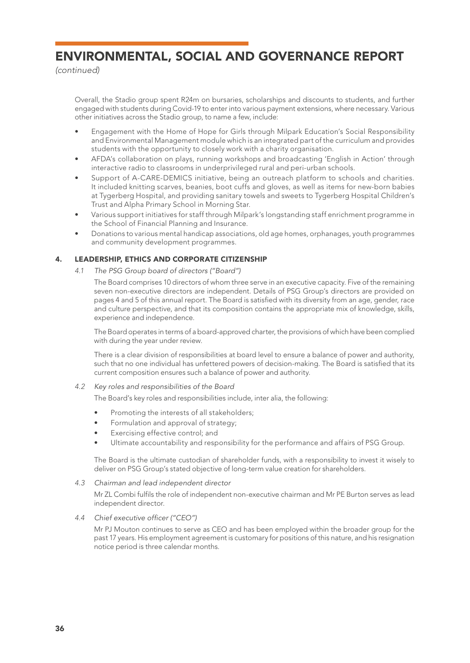*(continued)*

Overall, the Stadio group spent R24m on bursaries, scholarships and discounts to students, and further engaged with students during Covid-19 to enter into various payment extensions, where necessary. Various other initiatives across the Stadio group, to name a few, include:

- Engagement with the Home of Hope for Girls through Milpark Education's Social Responsibility and Environmental Management module which is an integrated part of the curriculum and provides students with the opportunity to closely work with a charity organisation.
- AFDA's collaboration on plays, running workshops and broadcasting 'English in Action' through interactive radio to classrooms in underprivileged rural and peri-urban schools.
- Support of A-CARE-DEMICS initiative, being an outreach platform to schools and charities. It included knitting scarves, beanies, boot cuffs and gloves, as well as items for new-born babies at Tygerberg Hospital, and providing sanitary towels and sweets to Tygerberg Hospital Children's Trust and Alpha Primary School in Morning Star.
- Various support initiatives for staff through Milpark's longstanding staff enrichment programme in the School of Financial Planning and Insurance.
- Donations to various mental handicap associations, old age homes, orphanages, youth programmes and community development programmes.

# 4. LEADERSHIP, ETHICS AND CORPORATE CITIZENSHIP

*4.1 The PSG Group board of directors ("Board")*

The Board comprises 10 directors of whom three serve in an executive capacity. Five of the remaining seven non-executive directors are independent. Details of PSG Group's directors are provided on pages 4 and 5 of this annual report. The Board is satisfied with its diversity from an age, gender, race and culture perspective, and that its composition contains the appropriate mix of knowledge, skills, experience and independence.

The Board operates in terms of a board-approved charter, the provisions of which have been complied with during the year under review.

There is a clear division of responsibilities at board level to ensure a balance of power and authority, such that no one individual has unfettered powers of decision-making. The Board is satisfied that its current composition ensures such a balance of power and authority.

- *4.2 Key roles and responsibilities of the Board*
	- The Board's key roles and responsibilities include, inter alia, the following:
	- Promoting the interests of all stakeholders;
	- Formulation and approval of strategy;
	- Exercising effective control; and
	- Ultimate accountability and responsibility for the performance and affairs of PSG Group.

The Board is the ultimate custodian of shareholder funds, with a responsibility to invest it wisely to deliver on PSG Group's stated objective of long-term value creation for shareholders.

*4.3 Chairman and lead independent director*

Mr ZL Combi fulfils the role of independent non-executive chairman and Mr PE Burton serves as lead independent director.

*4.4 Chief executive officer ("CEO")*

Mr PJ Mouton continues to serve as CEO and has been employed within the broader group for the past 17 years. His employment agreement is customary for positions of this nature, and his resignation notice period is three calendar months.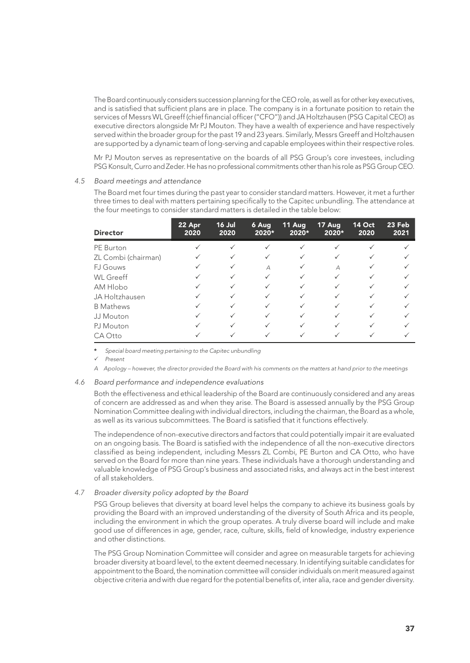The Board continuously considers succession planning for the CEO role, as well as for other key executives, and is satisfied that sufficient plans are in place. The company is in a fortunate position to retain the services of Messrs WL Greeff (chief financial officer ("CFO")) and JA Holtzhausen (PSG Capital CEO) as executive directors alongside Mr PJ Mouton. They have a wealth of experience and have respectively served within the broader group for the past 19 and 23 years. Similarly, Messrs Greeff and Holtzhausen are supported by a dynamic team of long-serving and capable employees within their respective roles.

Mr PJ Mouton serves as representative on the boards of all PSG Group's core investees, including PSG Konsult, Curro and Zeder. He has no professional commitments other than his role as PSG Group CEO.

#### *4.5 Board meetings and attendance*

The Board met four times during the past year to consider standard matters. However, it met a further three times to deal with matters pertaining specifically to the Capitec unbundling. The attendance at the four meetings to consider standard matters is detailed in the table below:

| <b>Director</b>     | 22 Apr<br>2020 | 16 Jul<br>2020 | 6 Aug<br>2020* | 11 Aug<br>2020* | 17 Aug<br>2020* | <b>14 Oct</b><br>2020 | 23 Feb<br>2021 |
|---------------------|----------------|----------------|----------------|-----------------|-----------------|-----------------------|----------------|
| PE Burton           |                | $\checkmark$   | ✓              |                 |                 |                       |                |
| ZL Combi (chairman) |                |                | ✓              |                 |                 |                       |                |
| <b>F.J Gouws</b>    |                | ✓              | $\overline{A}$ |                 | $\overline{A}$  |                       |                |
| <b>WL</b> Greeff    |                | ✓              | ✓              | $\checkmark$    | $\checkmark$    |                       |                |
| AM Hlobo            |                | ✓              | ✓              | $\checkmark$    |                 |                       |                |
| JA Holtzhausen      |                | ✓              | ✓              | ✓               | ✓               |                       |                |
| <b>B</b> Mathews    |                | $\checkmark$   | ✓              | $\checkmark$    | $\checkmark$    |                       |                |
| JJ Mouton           |                | $\checkmark$   | ✓              |                 |                 |                       |                |
| PJ Mouton           |                | $\checkmark$   | ✓              |                 |                 |                       |                |
| CA Otto             |                |                |                |                 |                 |                       |                |

\* *Special board meeting pertaining to the Capitec unbundling*

P *Present*

*A Apology – however, the director provided the Board with his comments on the matters at hand prior to the meetings*

#### *4.6 Board performance and independence evaluations*

Both the effectiveness and ethical leadership of the Board are continuously considered and any areas of concern are addressed as and when they arise. The Board is assessed annually by the PSG Group Nomination Committee dealing with individual directors, including the chairman, the Board as a whole, as well as its various subcommittees. The Board is satisfied that it functions effectively.

The independence of non-executive directors and factors that could potentially impair it are evaluated on an ongoing basis. The Board is satisfied with the independence of all the non-executive directors classified as being independent, including Messrs ZL Combi, PE Burton and CA Otto, who have served on the Board for more than nine years. These individuals have a thorough understanding and valuable knowledge of PSG Group's business and associated risks, and always act in the best interest of all stakeholders.

#### *4.7 Broader diversity policy adopted by the Board*

PSG Group believes that diversity at board level helps the company to achieve its business goals by providing the Board with an improved understanding of the diversity of South Africa and its people, including the environment in which the group operates. A truly diverse board will include and make good use of differences in age, gender, race, culture, skills, field of knowledge, industry experience and other distinctions.

The PSG Group Nomination Committee will consider and agree on measurable targets for achieving broader diversity at board level, to the extent deemed necessary. In identifying suitable candidates for appointment to the Board, the nomination committee will consider individuals on merit measured against objective criteria and with due regard for the potential benefits of, inter alia, race and gender diversity.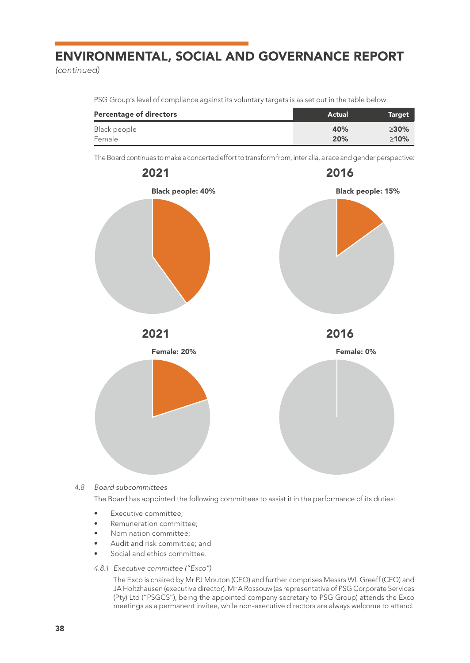*(continued)*

PSG Group's level of compliance against its voluntary targets is as set out in the table below:

| <b>Percentage of directors</b> | Actual | Target  |
|--------------------------------|--------|---------|
| Black people                   | 40%    | $>30\%$ |
| Female                         | 20%    | $>10\%$ |

The Board continues to make a concerted effort to transform from, inter alia, a race and gender perspective:



*4.8 Board subcommittees*

The Board has appointed the following committees to assist it in the performance of its duties:

- Executive committee:
- Remuneration committee;
- Nomination committee:
- Audit and risk committee; and
- Social and ethics committee.
- *4.8.1 Executive committee ("Exco")*

The Exco is chaired by Mr PJ Mouton (CEO) and further comprises Messrs WL Greeff (CFO) and JA Holtzhausen (executive director). Mr A Rossouw (as representative of PSG Corporate Services (Pty) Ltd ("PSGCS"), being the appointed company secretary to PSG Group) attends the Exco meetings as a permanent invitee, while non-executive directors are always welcome to attend.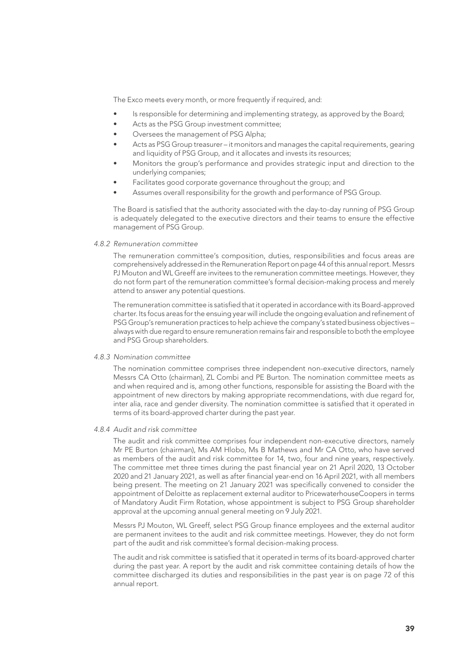The Exco meets every month, or more frequently if required, and:

- Is responsible for determining and implementing strategy, as approved by the Board;
- Acts as the PSG Group investment committee:
- Oversees the management of PSG Alpha;
- Acts as PSG Group treasurer it monitors and manages the capital requirements, gearing and liquidity of PSG Group, and it allocates and invests its resources;
- Monitors the group's performance and provides strategic input and direction to the underlying companies;
- Facilitates good corporate governance throughout the group; and
- Assumes overall responsibility for the growth and performance of PSG Group.

The Board is satisfied that the authority associated with the day-to-day running of PSG Group is adequately delegated to the executive directors and their teams to ensure the effective management of PSG Group.

#### *4.8.2 Remuneration committee*

The remuneration committee's composition, duties, responsibilities and focus areas are comprehensively addressed in the Remuneration Report on page 44 of this annual report. Messrs PJ Mouton and WL Greeff are invitees to the remuneration committee meetings. However, they do not form part of the remuneration committee's formal decision-making process and merely attend to answer any potential questions.

The remuneration committee is satisfied that it operated in accordance with its Board-approved charter. Its focus areas for the ensuing year will include the ongoing evaluation and refinement of PSG Group's remuneration practices to help achieve the company's stated business objectives – always with due regard to ensure remuneration remains fair and responsible to both the employee and PSG Group shareholders.

#### *4.8.3 Nomination committee*

The nomination committee comprises three independent non-executive directors, namely Messrs CA Otto (chairman), ZL Combi and PE Burton. The nomination committee meets as and when required and is, among other functions, responsible for assisting the Board with the appointment of new directors by making appropriate recommendations, with due regard for, inter alia, race and gender diversity. The nomination committee is satisfied that it operated in terms of its board-approved charter during the past year.

#### *4.8.4 Audit and risk committee*

The audit and risk committee comprises four independent non-executive directors, namely Mr PE Burton (chairman), Ms AM Hlobo, Ms B Mathews and Mr CA Otto, who have served as members of the audit and risk committee for 14, two, four and nine years, respectively. The committee met three times during the past financial year on 21 April 2020, 13 October 2020 and 21 January 2021, as well as after financial year-end on 16 April 2021, with all members being present. The meeting on 21 January 2021 was specifically convened to consider the appointment of Deloitte as replacement external auditor to PricewaterhouseCoopers in terms of Mandatory Audit Firm Rotation, whose appointment is subject to PSG Group shareholder approval at the upcoming annual general meeting on 9 July 2021.

Messrs PJ Mouton, WL Greeff, select PSG Group finance employees and the external auditor are permanent invitees to the audit and risk committee meetings. However, they do not form part of the audit and risk committee's formal decision-making process.

The audit and risk committee is satisfied that it operated in terms of its board-approved charter during the past year. A report by the audit and risk committee containing details of how the committee discharged its duties and responsibilities in the past year is on page 72 of this annual report.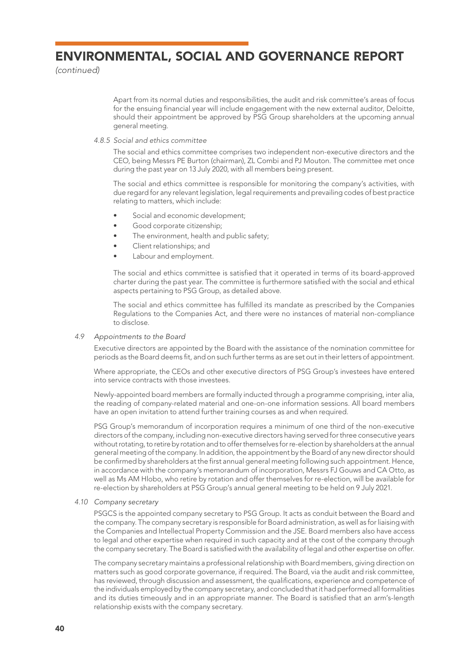*(continued)*

Apart from its normal duties and responsibilities, the audit and risk committee's areas of focus for the ensuing financial year will include engagement with the new external auditor, Deloitte, should their appointment be approved by PSG Group shareholders at the upcoming annual general meeting.

*4.8.5 Social and ethics committee*

The social and ethics committee comprises two independent non-executive directors and the CEO, being Messrs PE Burton (chairman), ZL Combi and PJ Mouton. The committee met once during the past year on 13 July 2020, with all members being present.

The social and ethics committee is responsible for monitoring the company's activities, with due regard for any relevant legislation, legal requirements and prevailing codes of best practice relating to matters, which include:

- Social and economic development;
- Good corporate citizenship;
- The environment, health and public safety;
- Client relationships; and
- Labour and employment.

The social and ethics committee is satisfied that it operated in terms of its board-approved charter during the past year. The committee is furthermore satisfied with the social and ethical aspects pertaining to PSG Group, as detailed above.

The social and ethics committee has fulfilled its mandate as prescribed by the Companies Regulations to the Companies Act, and there were no instances of material non-compliance to disclose.

#### *4.9 Appointments to the Board*

Executive directors are appointed by the Board with the assistance of the nomination committee for periods as the Board deems fit, and on such further terms as are set out in their letters of appointment.

Where appropriate, the CEOs and other executive directors of PSG Group's investees have entered into service contracts with those investees.

Newly-appointed board members are formally inducted through a programme comprising, inter alia, the reading of company-related material and one-on-one information sessions. All board members have an open invitation to attend further training courses as and when required.

PSG Group's memorandum of incorporation requires a minimum of one third of the non-executive directors of the company, including non-executive directors having served for three consecutive years without rotating, to retire by rotation and to offer themselves for re-election by shareholders at the annual general meeting of the company. In addition, the appointment by the Board of any new director should be confirmed by shareholders at the first annual general meeting following such appointment. Hence, in accordance with the company's memorandum of incorporation, Messrs FJ Gouws and CA Otto, as well as Ms AM Hlobo, who retire by rotation and offer themselves for re-election, will be available for re-election by shareholders at PSG Group's annual general meeting to be held on 9 July 2021.

#### *4.10 Company secretary*

PSGCS is the appointed company secretary to PSG Group. It acts as conduit between the Board and the company. The company secretary is responsible for Board administration, as well as for liaising with the Companies and Intellectual Property Commission and the JSE. Board members also have access to legal and other expertise when required in such capacity and at the cost of the company through the company secretary. The Board is satisfied with the availability of legal and other expertise on offer.

The company secretary maintains a professional relationship with Board members, giving direction on matters such as good corporate governance, if required. The Board, via the audit and risk committee, has reviewed, through discussion and assessment, the qualifications, experience and competence of the individuals employed by the company secretary, and concluded that it had performed all formalities and its duties timeously and in an appropriate manner. The Board is satisfied that an arm's-length relationship exists with the company secretary.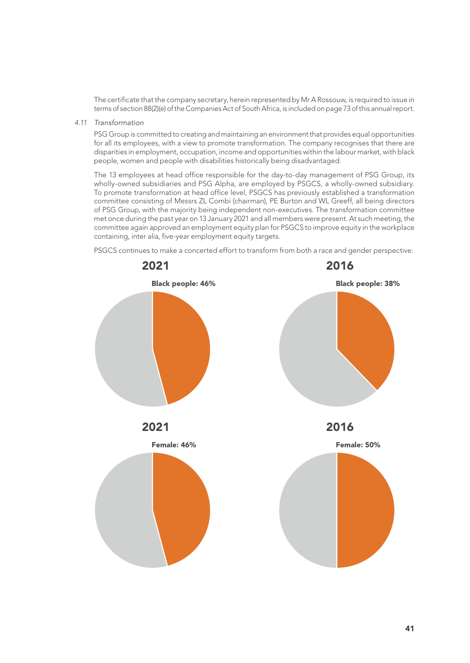The certificate that the company secretary, herein represented by Mr A Rossouw, is required to issue in terms of section 88(2)(e) of the Companies Act of South Africa, is included on page 73 of this annual report.

*4.11 Transformation*

PSG Group is committed to creating and maintaining an environment that provides equal opportunities for all its employees, with a view to promote transformation. The company recognises that there are disparities in employment, occupation, income and opportunities within the labour market, with black people, women and people with disabilities historically being disadvantaged.

The 13 employees at head office responsible for the day-to-day management of PSG Group, its wholly-owned subsidiaries and PSG Alpha, are employed by PSGCS, a wholly-owned subsidiary. To promote transformation at head office level, PSGCS has previously established a transformation committee consisting of Messrs ZL Combi (chairman), PE Burton and WL Greeff, all being directors of PSG Group, with the majority being independent non-executives. The transformation committee met once during the past year on 13 January 2021 and all members were present. At such meeting, the committee again approved an employment equity plan for PSGCS to improve equity in the workplace containing, inter alia, five-year employment equity targets.

PSGCS continues to make a concerted effort to transform from both a race and gender perspective:

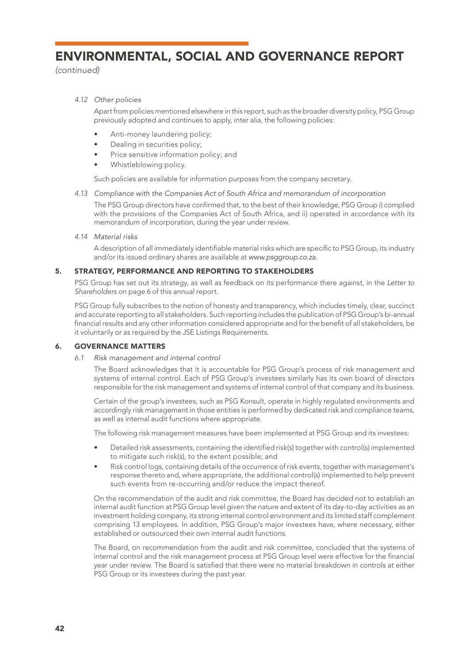*(continued)*

# *4.12 Other policies*

Apart from policies mentioned elsewhere in this report, such as the broader diversity policy, PSG Group previously adopted and continues to apply, inter alia, the following policies:

- Anti-money laundering policy;
- Dealing in securities policy;
- Price sensitive information policy; and
- Whistleblowing policy.

Such policies are available for information purposes from the company secretary.

*4.13 Compliance with the Companies Act of South Africa and memorandum of incorporation*

The PSG Group directors have confirmed that, to the best of their knowledge, PSG Group i) complied with the provisions of the Companies Act of South Africa, and ii) operated in accordance with its memorandum of incorporation, during the year under review.

# *4.14 Material risks*

A description of all immediately identifiable material risks which are specific to PSG Group, its industry and/or its issued ordinary shares are available at *www.psggroup.co.za.*

# 5. STRATEGY, PERFORMANCE AND REPORTING TO STAKEHOLDERS

PSG Group has set out its strategy, as well as feedback on its performance there against, in the *Letter to Shareholders* on page 6 of this annual report.

PSG Group fully subscribes to the notion of honesty and transparency, which includes timely, clear, succinct and accurate reporting to all stakeholders. Such reporting includes the publication of PSG Group's bi-annual financial results and any other information considered appropriate and for the benefit of all stakeholders, be it voluntarily or as required by the JSE Listings Requirements.

# 6. GOVERNANCE MATTERS

*6.1 Risk management and internal control*

The Board acknowledges that it is accountable for PSG Group's process of risk management and systems of internal control. Each of PSG Group's investees similarly has its own board of directors responsible for the risk management and systems of internal control of that company and its business.

Certain of the group's investees, such as PSG Konsult, operate in highly regulated environments and accordingly risk management in those entities is performed by dedicated risk and compliance teams, as well as internal audit functions where appropriate.

The following risk management measures have been implemented at PSG Group and its investees:

- Detailed risk assessments, containing the identified risk(s) together with control(s) implemented to mitigate such risk(s), to the extent possible; and
- Risk control logs, containing details of the occurrence of risk events, together with management's response thereto and, where appropriate, the additional control(s) implemented to help prevent such events from re-occurring and/or reduce the impact thereof.

On the recommendation of the audit and risk committee, the Board has decided not to establish an internal audit function at PSG Group level given the nature and extent of its day-to-day activities as an investment holding company, its strong internal control environment and its limited staff complement comprising 13 employees. In addition, PSG Group's major investees have, where necessary, either established or outsourced their own internal audit functions.

The Board, on recommendation from the audit and risk committee, concluded that the systems of internal control and the risk management process at PSG Group level were effective for the financial year under review. The Board is satisfied that there were no material breakdown in controls at either PSG Group or its investees during the past year.